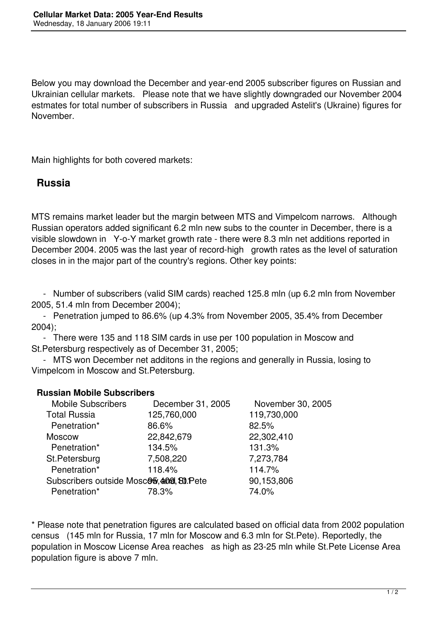Below you may download the December and year-end 2005 subscriber figures on Russian and Ukrainian cellular markets. Please note that we have slightly downgraded our November 2004 estmates for total number of subscribers in Russia and upgraded Astelit's (Ukraine) figures for November.

Main highlights for both covered markets:

## **Russia**

MTS remains market leader but the margin between MTS and Vimpelcom narrows. Although Russian operators added significant 6.2 mln new subs to the counter in December, there is a visible slowdown in Y-o-Y market growth rate - there were 8.3 mln net additions reported in December 2004. 2005 was the last year of record-high growth rates as the level of saturation closes in in the major part of the country's regions. Other key points:

 - Number of subscribers (valid SIM cards) reached 125.8 mln (up 6.2 mln from November 2005, 51.4 mln from December 2004);

 - Penetration jumped to 86.6% (up 4.3% from November 2005, 35.4% from December 2004);

 - There were 135 and 118 SIM cards in use per 100 population in Moscow and St.Petersburg respectively as of December 31, 2005;

 - MTS won December net additons in the regions and generally in Russia, losing to Vimpelcom in Moscow and St.Petersburg.

## **Russian Mobile Subscribers**

| <b>Mobile Subscribers</b>                  | December 31, 2005 | November 30, 2005 |
|--------------------------------------------|-------------------|-------------------|
| <b>Total Russia</b>                        | 125,760,000       | 119,730,000       |
| Penetration*                               | 86.6%             | 82.5%             |
| <b>Moscow</b>                              | 22,842,679        | 22,302,410        |
| Penetration*                               | 134.5%            | 131.3%            |
| St.Petersburg                              | 7,508,220         | 7,273,784         |
| Penetration*                               | 118.4%            | 114.7%            |
| Subscribers outside MoscOb, 4000, 80. Pete | 90,153,806        |                   |
| Penetration*                               | 78.3%             | 74.0%             |
|                                            |                   |                   |

\* Please note that penetration figures are calculated based on official data from 2002 population census (145 mln for Russia, 17 mln for Moscow and 6.3 mln for St.Pete). Reportedly, the population in Moscow License Area reaches as high as 23-25 mln while St.Pete License Area population figure is above 7 mln.